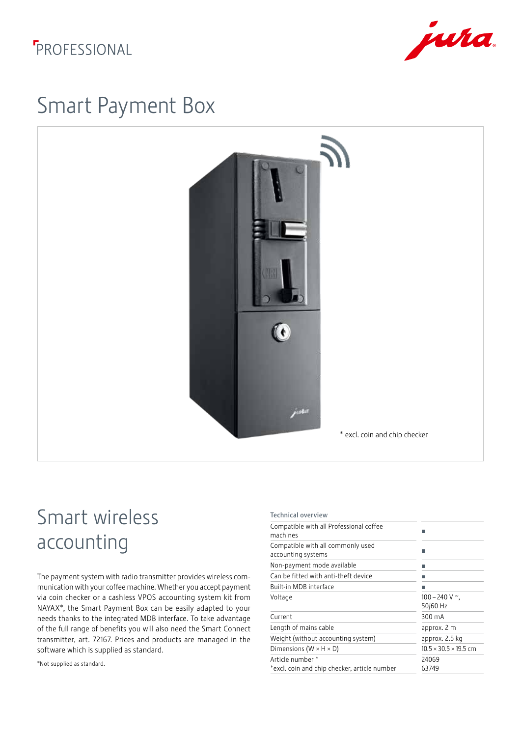### *FPROFESSIONAL*



## Smart Payment Box



# Smart wireless accounting

The payment system with radio transmitter provides wireless communication with your coffee machine. Whether you accept payment via coin checker or a cashless VPOS accounting system kit from NAYAX\*, the Smart Payment Box can be easily adapted to your needs thanks to the integrated MDB interface. To take advantage of the full range of benefits you will also need the Smart Connect transmitter, art. 72167. Prices and products are managed in the software which is supplied as standard.

\*Not supplied as standard.

| <b>Technical overview</b>                                        |                                    |
|------------------------------------------------------------------|------------------------------------|
| Compatible with all Professional coffee<br>machines              |                                    |
| Compatible with all commonly used<br>accounting systems          |                                    |
| Non-payment mode available                                       |                                    |
| Can be fitted with anti-theft device                             |                                    |
| Built-in MDB interface                                           |                                    |
| Voltage                                                          | $100 - 240$ V $\sim$ ,<br>50/60 Hz |
| Current                                                          | 300 mA                             |
| Length of mains cable                                            | approx. 2 m                        |
| Weight (without accounting system)                               | approx. 2.5 kg                     |
| Dimensions ( $W \times H \times D$ )                             | $10.5 \times 30.5 \times 19.5$ cm  |
| Article number *<br>*excl. coin and chip checker, article number | 24069<br>63749                     |